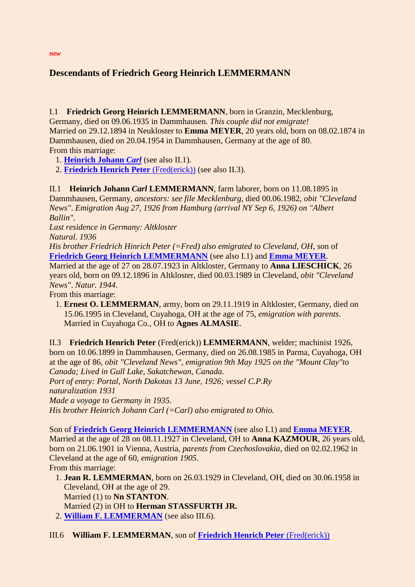## **Descendants of Friedrich Georg Heinrich LEMMERMANN**

## <span id="page-0-2"></span>I.1 **Friedrich Georg Heinrich LEMMERMANN**, born in Granzin, Mecklenburg,

Germany, died on 09.06.1935 in Dammhausen. *This couple did not emigrate!* Married on 29.12.1894 in Neukloster to **Emma MEYER**, 20 years old, born on 08.02.1874 in Dammhausen, died on 20.04.1954 in Dammhausen, Germany at the age of 80. From this marriage:

<span id="page-0-3"></span>1. **[Heinrich Johann](#page-0-0)** *Carl* (see also II.1).

2. **[Friedrich Henrich Peter](#page-0-1)** (Fred(erick)) (see also II.3).

## <span id="page-0-0"></span>II.1 **Heinrich Johann** *Carl* **LEMMERMANN**, farm laborer, born on 11.08.1895 in

Dammhausen, Germany, *ancestors: see file Mecklenburg*, died 00.06.1982, *obit "Cleveland News"*. *Emigration Aug 27, 1926 from Hamburg (arrival NY Sep 6, 1926) on "Albert Ballin".*

*Last residence in Germany: Altkloster*

*Natural. 1936*

*His brother Friedrich Hinrich Peter (=Fred) also emigrated to Cleveland, OH*, son of **[Friedrich Georg Heinrich LEMMERMANN](#page-0-2)** (see also I.1) and **[Emma MEYER](#page-0-3)**.

Married at the age of 27 on 28.07.1923 in Altkloster, Germany to **Anna LIESCHICK**, 26 years old, born on 09.12.1896 in Altkloster, died 00.03.1989 in Cleveland, *obit "Cleveland News"*. *Natur. 1944*.

From this marriage:

 1. **Ernest O. LEMMERMAN**, army, born on 29.11.1919 in Altkloster, Germany, died on 15.06.1995 in Cleveland, Cuyahoga, OH at the age of 75, *emigration with parents*. Married in Cuyahoga Co., OH to **Agnes ALMASIE**.

<span id="page-0-1"></span>II.3 **Friedrich Henrich Peter** (Fred(erick)) **LEMMERMANN**, welder; machinist 1926, born on 10.06.1899 in Dammhausen, Germany, died on 26.08.1985 in Parma, Cuyahoga, OH at the age of 86, *obit "Cleveland News"*, *emigration 9th May 1925 on the "Mount Clay"to Canada; Lived in Gull Lake, Sakatchewan, Canada. Port of entry: Portal, North Dakotas 13 June, 1926; vessel C.P.Ry naturalization 1931 Made a voyage to Germany in 1935. His brother Heinrich Johann Carl (=Carl) also emigrated to Ohio.*

Son of **[Friedrich Georg Heinrich LEMMERMANN](#page-0-2)** (see also I.1) and **[Emma MEYER](#page-0-3)**. Married at the age of 28 on 08.11.1927 in Cleveland, OH to **Anna KAZMOUR**, 26 years old, born on 21.06.1901 in Vienna, Austria, *parents from Czechoslovakia*, died on 02.02.1962 in Cleveland at the age of 60, *emigration 1905*. From this marriage:

<span id="page-0-5"></span> 1. **Jean R. LEMMERMAN**, born on 26.03.1929 in Cleveland, OH, died on 30.06.1958 in Cleveland, OH at the age of 29. Married (1) to **Nn STANTON**.

Married (2) in OH to **Herman STASSFURTH JR.**

2. **[William F. LEMMERMAN](#page-0-4)** (see also III.6).

<span id="page-0-4"></span>III.6 **William F. LEMMERMAN**, son of **[Friedrich Henrich Peter](#page-0-1)** (Fred(erick))

*new*